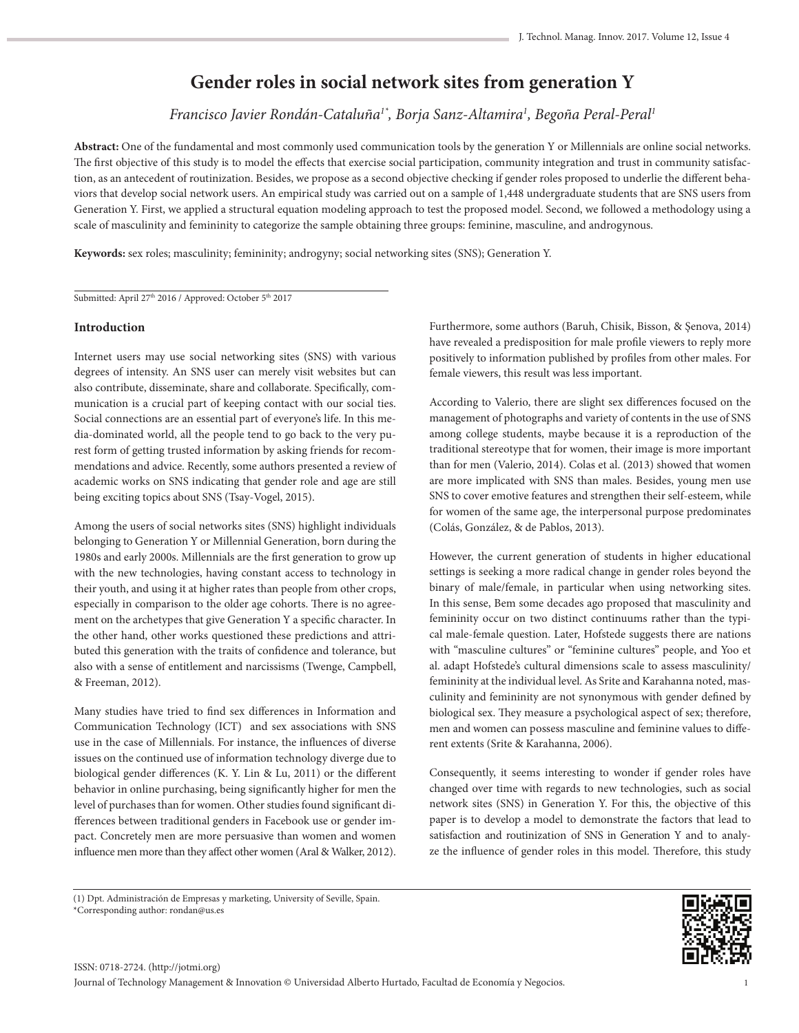# **Gender roles in social network sites from generation Y**

*Francisco Javier Rondán-Cataluña1\*, Borja Sanz-Altamira<sup>1</sup> , Begoña Peral-Peral<sup>1</sup>*

**Abstract:** One of the fundamental and most commonly used communication tools by the generation Y or Millennials are online social networks. The first objective of this study is to model the effects that exercise social participation, community integration and trust in community satisfaction, as an antecedent of routinization. Besides, we propose as a second objective checking if gender roles proposed to underlie the different behaviors that develop social network users. An empirical study was carried out on a sample of 1,448 undergraduate students that are SNS users from Generation Y. First, we applied a structural equation modeling approach to test the proposed model. Second, we followed a methodology using a scale of masculinity and femininity to categorize the sample obtaining three groups: feminine, masculine, and androgynous.

**Keywords:** sex roles; masculinity; femininity; androgyny; social networking sites (SNS); Generation Y.

Submitted: April 27<sup>th</sup> 2016 / Approved: October 5<sup>th</sup> 2017

## **Introduction**

Internet users may use social networking sites (SNS) with various degrees of intensity. An SNS user can merely visit websites but can also contribute, disseminate, share and collaborate. Specifically, communication is a crucial part of keeping contact with our social ties. Social connections are an essential part of everyone's life. In this media-dominated world, all the people tend to go back to the very purest form of getting trusted information by asking friends for recommendations and advice. Recently, some authors presented a review of academic works on SNS indicating that gender role and age are still being exciting topics about SNS (Tsay-Vogel, 2015).

Among the users of social networks sites (SNS) highlight individuals belonging to Generation Y or Millennial Generation, born during the 1980s and early 2000s. Millennials are the first generation to grow up with the new technologies, having constant access to technology in their youth, and using it at higher rates than people from other crops, especially in comparison to the older age cohorts. There is no agreement on the archetypes that give Generation Y a specific character. In the other hand, other works questioned these predictions and attributed this generation with the traits of confidence and tolerance, but also with a sense of entitlement and narcissisms (Twenge, Campbell, & Freeman, 2012).

Many studies have tried to find sex differences in Information and Communication Technology (ICT) and sex associations with SNS use in the case of Millennials. For instance, the influences of diverse issues on the continued use of information technology diverge due to biological gender differences (K. Y. Lin & Lu, 2011) or the different behavior in online purchasing, being significantly higher for men the level of purchases than for women. Other studies found significant differences between traditional genders in Facebook use or gender impact. Concretely men are more persuasive than women and women influence men more than they affect other women (Aral & Walker, 2012). Furthermore, some authors (Baruh, Chisik, Bisson, & Şenova, 2014) have revealed a predisposition for male profile viewers to reply more positively to information published by profiles from other males. For female viewers, this result was less important.

According to Valerio, there are slight sex differences focused on the management of photographs and variety of contents in the use of SNS among college students, maybe because it is a reproduction of the traditional stereotype that for women, their image is more important than for men (Valerio, 2014). Colas et al. (2013) showed that women are more implicated with SNS than males. Besides, young men use SNS to cover emotive features and strengthen their self-esteem, while for women of the same age, the interpersonal purpose predominates (Colás, González, & de Pablos, 2013).

However, the current generation of students in higher educational settings is seeking a more radical change in gender roles beyond the binary of male/female, in particular when using networking sites. In this sense, Bem some decades ago proposed that masculinity and femininity occur on two distinct continuums rather than the typical male-female question. Later, Hofstede suggests there are nations with "masculine cultures" or "feminine cultures" people, and Yoo et al. adapt Hofstede's cultural dimensions scale to assess masculinity/ femininity at the individual level. As Srite and Karahanna noted, masculinity and femininity are not synonymous with gender defined by biological sex. They measure a psychological aspect of sex; therefore, men and women can possess masculine and feminine values to different extents (Srite & Karahanna, 2006).

Consequently, it seems interesting to wonder if gender roles have changed over time with regards to new technologies, such as social network sites (SNS) in Generation Y. For this, the objective of this paper is to develop a model to demonstrate the factors that lead to satisfaction and routinization of SNS in Generation Y and to analyze the influence of gender roles in this model. Therefore, this study



<sup>(1)</sup> Dpt. Administración de Empresas y marketing, University of Seville, Spain. \*Corresponding author: rondan@us.es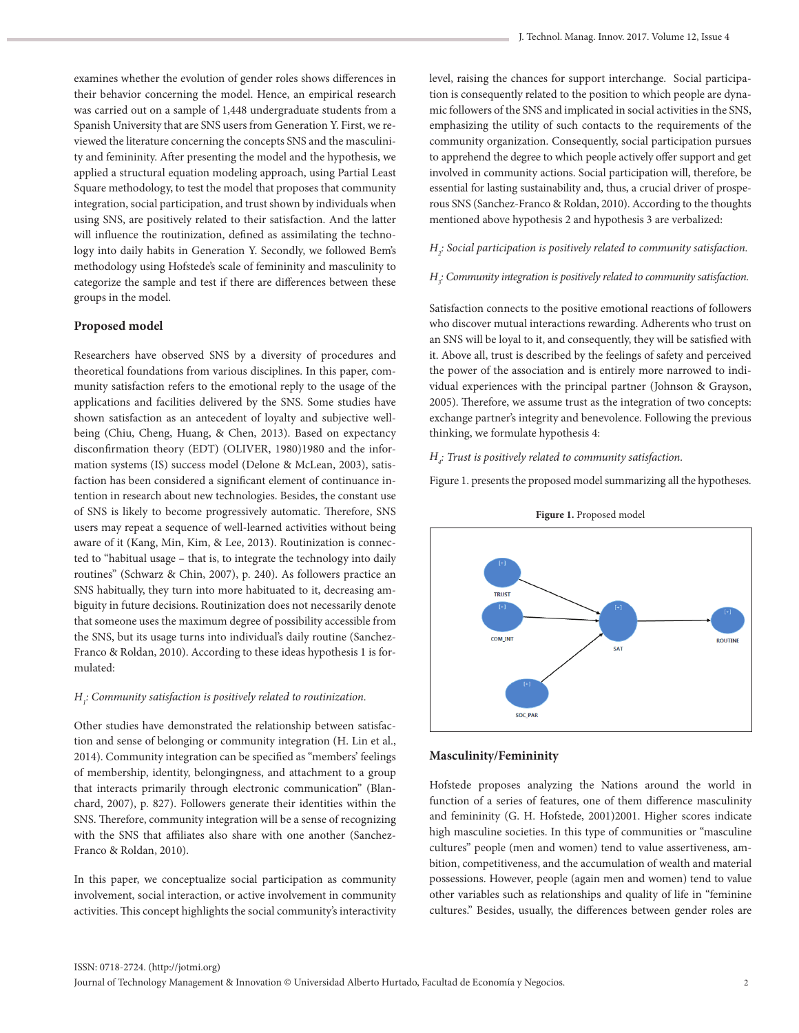examines whether the evolution of gender roles shows differences in their behavior concerning the model. Hence, an empirical research was carried out on a sample of 1,448 undergraduate students from a Spanish University that are SNS users from Generation Y. First, we reviewed the literature concerning the concepts SNS and the masculinity and femininity. After presenting the model and the hypothesis, we applied a structural equation modeling approach, using Partial Least Square methodology, to test the model that proposes that community integration, social participation, and trust shown by individuals when using SNS, are positively related to their satisfaction. And the latter will influence the routinization, defined as assimilating the technology into daily habits in Generation Y. Secondly, we followed Bem's methodology using Hofstede's scale of femininity and masculinity to categorize the sample and test if there are differences between these groups in the model.

#### **Proposed model**

Researchers have observed SNS by a diversity of procedures and theoretical foundations from various disciplines. In this paper, community satisfaction refers to the emotional reply to the usage of the applications and facilities delivered by the SNS. Some studies have shown satisfaction as an antecedent of loyalty and subjective wellbeing (Chiu, Cheng, Huang, & Chen, 2013). Based on expectancy disconfirmation theory (EDT) (OLIVER, 1980)1980 and the information systems (IS) success model (Delone & McLean, 2003), satisfaction has been considered a significant element of continuance intention in research about new technologies. Besides, the constant use of SNS is likely to become progressively automatic. Therefore, SNS users may repeat a sequence of well-learned activities without being aware of it (Kang, Min, Kim, & Lee, 2013). Routinization is connected to "habitual usage – that is, to integrate the technology into daily routines" (Schwarz & Chin, 2007), p. 240). As followers practice an SNS habitually, they turn into more habituated to it, decreasing ambiguity in future decisions. Routinization does not necessarily denote that someone uses the maximum degree of possibility accessible from the SNS, but its usage turns into individual's daily routine (Sanchez-Franco & Roldan, 2010). According to these ideas hypothesis 1 is formulated:

# *H1 : Community satisfaction is positively related to routinization.*

Other studies have demonstrated the relationship between satisfaction and sense of belonging or community integration (H. Lin et al., 2014). Community integration can be specified as "members' feelings of membership, identity, belongingness, and attachment to a group that interacts primarily through electronic communication" (Blanchard, 2007), p. 827). Followers generate their identities within the SNS. Therefore, community integration will be a sense of recognizing with the SNS that affiliates also share with one another (Sanchez-Franco & Roldan, 2010).

In this paper, we conceptualize social participation as community involvement, social interaction, or active involvement in community activities. This concept highlights the social community's interactivity level, raising the chances for support interchange. Social participation is consequently related to the position to which people are dynamic followers of the SNS and implicated in social activities in the SNS, emphasizing the utility of such contacts to the requirements of the community organization. Consequently, social participation pursues to apprehend the degree to which people actively offer support and get involved in community actions. Social participation will, therefore, be essential for lasting sustainability and, thus, a crucial driver of prosperous SNS (Sanchez-Franco & Roldan, 2010). According to the thoughts mentioned above hypothesis 2 and hypothesis 3 are verbalized:

## *H2 : Social participation is positively related to community satisfaction.*

# *H3 : Community integration is positively related to community satisfaction.*

Satisfaction connects to the positive emotional reactions of followers who discover mutual interactions rewarding. Adherents who trust on an SNS will be loyal to it, and consequently, they will be satisfied with it. Above all, trust is described by the feelings of safety and perceived the power of the association and is entirely more narrowed to individual experiences with the principal partner (Johnson & Grayson, 2005). Therefore, we assume trust as the integration of two concepts: exchange partner's integrity and benevolence. Following the previous thinking, we formulate hypothesis 4:

*H4 : Trust is positively related to community satisfaction.*

Figure 1. presents the proposed model summarizing all the hypotheses.



**Figure 1.** Proposed model

#### **Masculinity/Femininity**

Hofstede proposes analyzing the Nations around the world in function of a series of features, one of them difference masculinity and femininity (G. H. Hofstede, 2001)2001. Higher scores indicate high masculine societies. In this type of communities or "masculine cultures" people (men and women) tend to value assertiveness, ambition, competitiveness, and the accumulation of wealth and material possessions. However, people (again men and women) tend to value other variables such as relationships and quality of life in "feminine cultures." Besides, usually, the differences between gender roles are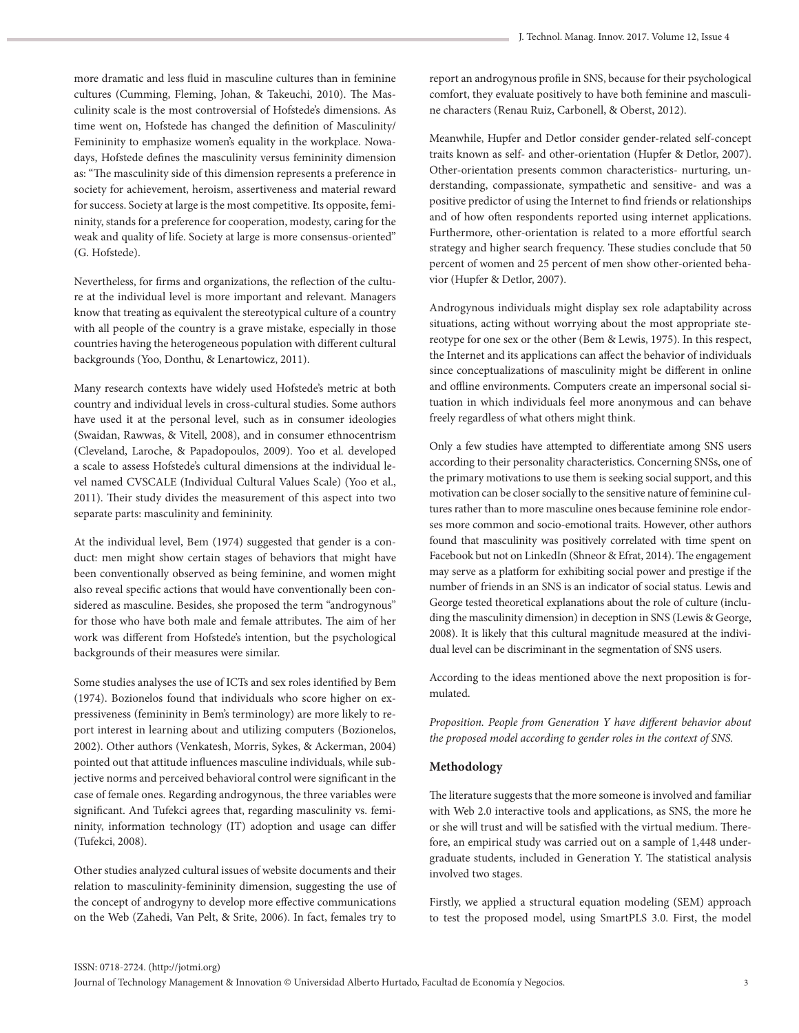more dramatic and less fluid in masculine cultures than in feminine cultures (Cumming, Fleming, Johan, & Takeuchi, 2010). The Masculinity scale is the most controversial of Hofstede's dimensions. As time went on, Hofstede has changed the definition of Masculinity/ Femininity to emphasize women's equality in the workplace. Nowadays, Hofstede defines the masculinity versus femininity dimension as: "The masculinity side of this dimension represents a preference in society for achievement, heroism, assertiveness and material reward for success. Society at large is the most competitive. Its opposite, femininity, stands for a preference for cooperation, modesty, caring for the weak and quality of life. Society at large is more consensus-oriented" (G. Hofstede).

Nevertheless, for firms and organizations, the reflection of the culture at the individual level is more important and relevant. Managers know that treating as equivalent the stereotypical culture of a country with all people of the country is a grave mistake, especially in those countries having the heterogeneous population with different cultural backgrounds (Yoo, Donthu, & Lenartowicz, 2011).

Many research contexts have widely used Hofstede's metric at both country and individual levels in cross-cultural studies. Some authors have used it at the personal level, such as in consumer ideologies (Swaidan, Rawwas, & Vitell, 2008), and in consumer ethnocentrism (Cleveland, Laroche, & Papadopoulos, 2009). Yoo et al. developed a scale to assess Hofstede's cultural dimensions at the individual level named CVSCALE (Individual Cultural Values Scale) (Yoo et al., 2011). Their study divides the measurement of this aspect into two separate parts: masculinity and femininity.

At the individual level, Bem (1974) suggested that gender is a conduct: men might show certain stages of behaviors that might have been conventionally observed as being feminine, and women might also reveal specific actions that would have conventionally been considered as masculine. Besides, she proposed the term "androgynous" for those who have both male and female attributes. The aim of her work was different from Hofstede's intention, but the psychological backgrounds of their measures were similar.

Some studies analyses the use of ICTs and sex roles identified by Bem (1974). Bozionelos found that individuals who score higher on expressiveness (femininity in Bem's terminology) are more likely to report interest in learning about and utilizing computers (Bozionelos, 2002). Other authors (Venkatesh, Morris, Sykes, & Ackerman, 2004) pointed out that attitude influences masculine individuals, while subjective norms and perceived behavioral control were significant in the case of female ones. Regarding androgynous, the three variables were significant. And Tufekci agrees that, regarding masculinity vs. femininity, information technology (IT) adoption and usage can differ (Tufekci, 2008).

Other studies analyzed cultural issues of website documents and their relation to masculinity-femininity dimension, suggesting the use of the concept of androgyny to develop more effective communications on the Web (Zahedi, Van Pelt, & Srite, 2006). In fact, females try to

report an androgynous profile in SNS, because for their psychological comfort, they evaluate positively to have both feminine and masculine characters (Renau Ruiz, Carbonell, & Oberst, 2012).

Meanwhile, Hupfer and Detlor consider gender-related self-concept traits known as self- and other-orientation (Hupfer & Detlor, 2007). Other-orientation presents common characteristics- nurturing, understanding, compassionate, sympathetic and sensitive- and was a positive predictor of using the Internet to find friends or relationships and of how often respondents reported using internet applications. Furthermore, other-orientation is related to a more effortful search strategy and higher search frequency. These studies conclude that 50 percent of women and 25 percent of men show other-oriented behavior (Hupfer & Detlor, 2007).

Androgynous individuals might display sex role adaptability across situations, acting without worrying about the most appropriate stereotype for one sex or the other (Bem & Lewis, 1975). In this respect, the Internet and its applications can affect the behavior of individuals since conceptualizations of masculinity might be different in online and offline environments. Computers create an impersonal social situation in which individuals feel more anonymous and can behave freely regardless of what others might think.

Only a few studies have attempted to differentiate among SNS users according to their personality characteristics. Concerning SNSs, one of the primary motivations to use them is seeking social support, and this motivation can be closer socially to the sensitive nature of feminine cultures rather than to more masculine ones because feminine role endorses more common and socio-emotional traits. However, other authors found that masculinity was positively correlated with time spent on Facebook but not on LinkedIn (Shneor & Efrat, 2014). The engagement may serve as a platform for exhibiting social power and prestige if the number of friends in an SNS is an indicator of social status. Lewis and George tested theoretical explanations about the role of culture (including the masculinity dimension) in deception in SNS (Lewis & George, 2008). It is likely that this cultural magnitude measured at the individual level can be discriminant in the segmentation of SNS users.

According to the ideas mentioned above the next proposition is formulated.

*Proposition. People from Generation Y have different behavior about the proposed model according to gender roles in the context of SNS.*

## **Methodology**

The literature suggests that the more someone is involved and familiar with Web 2.0 interactive tools and applications, as SNS, the more he or she will trust and will be satisfied with the virtual medium. Therefore, an empirical study was carried out on a sample of 1,448 undergraduate students, included in Generation Y. The statistical analysis involved two stages.

Firstly, we applied a structural equation modeling (SEM) approach to test the proposed model, using SmartPLS 3.0. First, the model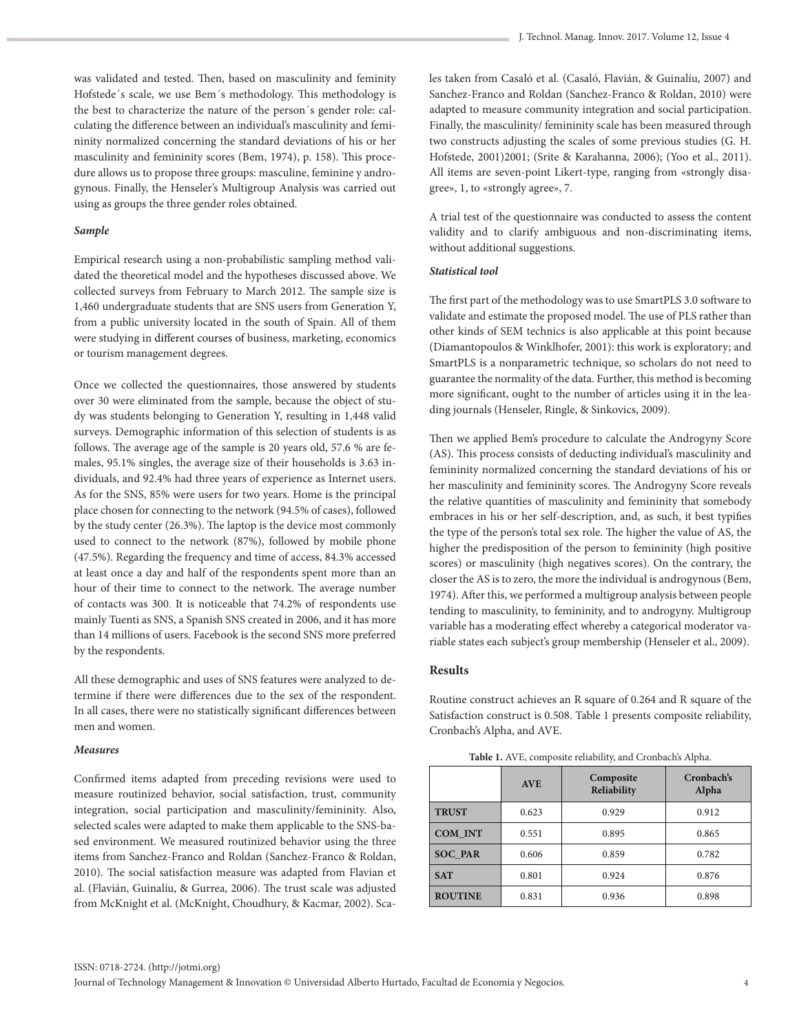was validated and tested. Then, based on masculinity and feminity Hofstede´s scale, we use Bem´s methodology. This methodology is the best to characterize the nature of the person´s gender role: calculating the difference between an individual's masculinity and femininity normalized concerning the standard deviations of his or her masculinity and femininity scores (Bem, 1974), p. 158). This procedure allows us to propose three groups: masculine, feminine y androgynous. Finally, the Henseler's Multigroup Analysis was carried out using as groups the three gender roles obtained.

#### *Sample*

Empirical research using a non-probabilistic sampling method validated the theoretical model and the hypotheses discussed above. We collected surveys from February to March 2012. The sample size is 1,460 undergraduate students that are SNS users from Generation Y, from a public university located in the south of Spain. All of them were studying in different courses of business, marketing, economics or tourism management degrees.

Once we collected the questionnaires, those answered by students over 30 were eliminated from the sample, because the object of study was students belonging to Generation Y, resulting in 1,448 valid surveys. Demographic information of this selection of students is as follows. The average age of the sample is 20 years old, 57.6 % are females, 95.1% singles, the average size of their households is 3.63 individuals, and 92.4% had three years of experience as Internet users. As for the SNS, 85% were users for two years. Home is the principal place chosen for connecting to the network (94.5% of cases), followed by the study center (26.3%). The laptop is the device most commonly used to connect to the network (87%), followed by mobile phone (47.5%). Regarding the frequency and time of access, 84.3% accessed at least once a day and half of the respondents spent more than an hour of their time to connect to the network. The average number of contacts was 300. It is noticeable that 74.2% of respondents use mainly Tuenti as SNS, a Spanish SNS created in 2006, and it has more than 14 millions of users. Facebook is the second SNS more preferred by the respondents.

All these demographic and uses of SNS features were analyzed to determine if there were differences due to the sex of the respondent. In all cases, there were no statistically significant differences between men and women.

#### *Measures*

Confirmed items adapted from preceding revisions were used to measure routinized behavior, social satisfaction, trust, community integration, social participation and masculinity/femininity. Also, selected scales were adapted to make them applicable to the SNS-based environment. We measured routinized behavior using the three items from Sanchez-Franco and Roldan (Sanchez-Franco & Roldan, 2010). The social satisfaction measure was adapted from Flavian et al. (Flavián, Guinalíu, & Gurrea, 2006). The trust scale was adjusted from McKnight et al. (McKnight, Choudhury, & Kacmar, 2002). Scales taken from Casaló et al. (Casaló, Flavián, & Guinalíu, 2007) and Sanchez-Franco and Roldan (Sanchez-Franco & Roldan, 2010) were adapted to measure community integration and social participation. Finally, the masculinity/ femininity scale has been measured through two constructs adjusting the scales of some previous studies (G. H. Hofstede, 2001)2001; (Srite & Karahanna, 2006); (Yoo et al., 2011). All items are seven-point Likert-type, ranging from «strongly disagree», 1, to «strongly agree», 7.

A trial test of the questionnaire was conducted to assess the content validity and to clarify ambiguous and non-discriminating items, without additional suggestions.

#### *Statistical tool*

The first part of the methodology was to use SmartPLS 3.0 software to validate and estimate the proposed model. The use of PLS rather than other kinds of SEM technics is also applicable at this point because (Diamantopoulos & Winklhofer, 2001): this work is exploratory; and SmartPLS is a nonparametric technique, so scholars do not need to guarantee the normality of the data. Further, this method is becoming more significant, ought to the number of articles using it in the leading journals (Henseler, Ringle, & Sinkovics, 2009).

Then we applied Bem's procedure to calculate the Androgyny Score (AS). This process consists of deducting individual's masculinity and femininity normalized concerning the standard deviations of his or her masculinity and femininity scores. The Androgyny Score reveals the relative quantities of masculinity and femininity that somebody embraces in his or her self-description, and, as such, it best typifies the type of the person's total sex role. The higher the value of AS, the higher the predisposition of the person to femininity (high positive scores) or masculinity (high negatives scores). On the contrary, the closer the AS is to zero, the more the individual is androgynous (Bem, 1974). After this, we performed a multigroup analysis between people tending to masculinity, to femininity, and to androgyny. Multigroup variable has a moderating effect whereby a categorical moderator variable states each subject's group membership (Henseler et al., 2009).

#### **Results**

Routine construct achieves an R square of 0.264 and R square of the Satisfaction construct is 0.508. Table 1 presents composite reliability, Cronbach's Alpha, and AVE.

|                | <b>AVE</b> | Composite<br>Reliability | Cronbach's<br>Alpha |
|----------------|------------|--------------------------|---------------------|
| <b>TRUST</b>   | 0.623      | 0.929                    | 0.912               |
| COM INT        | 0.551      | 0.895                    | 0.865               |
| <b>SOC PAR</b> | 0.606      | 0.859                    | 0.782               |
| <b>SAT</b>     | 0.801      | 0.924                    | 0.876               |
| <b>ROUTINE</b> | 0.831      | 0.936                    | 0.898               |

**Table 1.** AVE, composite reliability, and Cronbach's Alpha.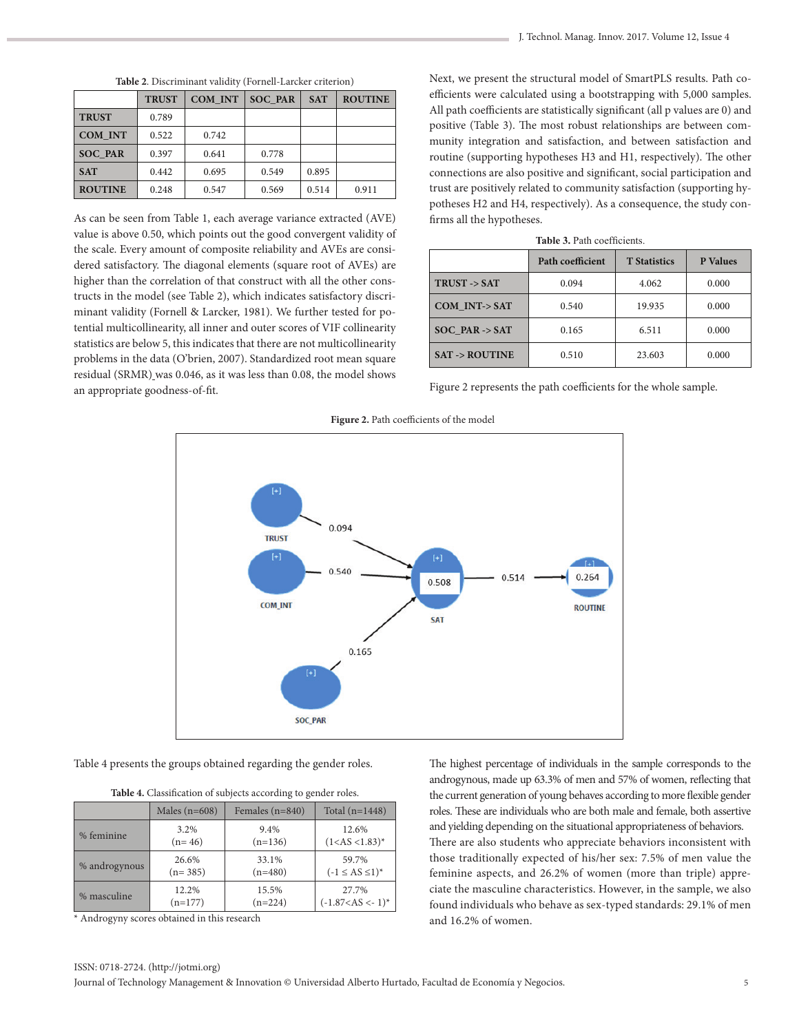| * Androgyny scores obtained in this research                                                                  | and 16.2% of women. |  |
|---------------------------------------------------------------------------------------------------------------|---------------------|--|
| ISSN: 0718-2724. (http://jotmi.org)                                                                           |                     |  |
| Journal of Technology Management & Innovation © Universidad Alberto Hurtado, Facultad de Economía y Negocios. |                     |  |
|                                                                                                               |                     |  |

| Table 2. Discriminant validity (Fornell-Larcker criterion) |  |
|------------------------------------------------------------|--|
|------------------------------------------------------------|--|

|                                                                     | <b>TRUST</b> | COM INT | <b>SOC PAR</b> | <b>SAT</b> | <b>ROUTINE</b> |
|---------------------------------------------------------------------|--------------|---------|----------------|------------|----------------|
| <b>TRUST</b>                                                        | 0.789        |         |                |            |                |
| COM INT                                                             | 0.522        | 0.742   |                |            |                |
| <b>SOC PAR</b>                                                      | 0.397        | 0.641   | 0.778          |            |                |
| <b>SAT</b>                                                          | 0.442        | 0.695   | 0.549          | 0.895      |                |
| <b>ROUTINE</b>                                                      | 0.248        | 0.547   | 0.569          | 0.514      | 0.911          |
| As can be seen from Toble 1, each everyors variance extracted (AVE) |              |         |                |            |                |

As can be seen from Table 1, each average variance extracted (AVE) value is above 0.50, which points out the good convergent validity of the scale. Every amount of composite reliability and AVEs are considered satisfactory. The diagonal elements (square root of AVEs) are higher than the correlation of that construct with all the other constructs in the model (see Table 2), which indicates satisfactory discriminant validity (Fornell & Larcker, 1981). We further tested for potential multicollinearity, all inner and outer scores of VIF collinearity statistics are below 5, this indicates that there are not multicollinearity problems in the data (O'brien, 2007). Standardized root mean square residual (SRMR) was 0.046, as it was less than 0.08, the model shows an appropriate goodness‐of‐fit.

Next, we present the structural model of SmartPLS results. Path coefficients were calculated using a bootstrapping with 5,000 samples. All path coefficients are statistically significant (all p values are 0) and positive (Table 3). The most robust relationships are between community integration and satisfaction, and between satisfaction and routine (supporting hypotheses H3 and H1, respectively). The other connections are also positive and significant, social participation and trust are positively related to community satisfaction (supporting hypotheses H2 and H4, respectively). As a consequence, the study confirms all the hypotheses.

| <b>Table 3.</b> Path coefficients. |                                                            |        |       |  |  |  |  |
|------------------------------------|------------------------------------------------------------|--------|-------|--|--|--|--|
|                                    | <b>P</b> Values<br>Path coefficient<br><b>T</b> Statistics |        |       |  |  |  |  |
| TRUST -> SAT                       | 0.094                                                      | 4.062  | 0.000 |  |  |  |  |
| COM INT-> SAT                      | 0.540                                                      | 19.935 | 0.000 |  |  |  |  |
| SOC PAR -> SAT                     | 0.165                                                      | 6.511  | 0.000 |  |  |  |  |
| <b>SAT -&gt; ROUTINE</b>           | 0.510                                                      | 23.603 | 0.000 |  |  |  |  |

Figure 2 represents the path coefficients for the whole sample.



Figure 2. Path coefficients of the model

Table 4 presents the groups obtained regarding the gender roles.

| Table 4. Classification of subjects according to gender roles. |  |  |  |
|----------------------------------------------------------------|--|--|--|
|----------------------------------------------------------------|--|--|--|

|               | Males $(n=608)$ | Females $(n=840)$ | Total $(n=1448)$      |
|---------------|-----------------|-------------------|-----------------------|
| % feminine    | 3.2%            | 9.4%              | 12.6%                 |
|               | $(n=46)$        | $(n=136)$         | $(1$                  |
| % androgynous | 26.6%           | 33.1%             | 59.7%                 |
|               | $(n=385)$       | $(n=480)$         | $(-1 \le AS \le 1)^*$ |
| % masculine   | 12.2%           | 15.5%             | 27.7%                 |
|               | $(n=177)$       | $(n=224)$         | $(-1.87 < AS < -1)^*$ |

\* Androgyny scores obtained in this research

The highest percentage of individuals in the sample corresponds to the androgynous, made up 63.3% of men and 57% of women, reflecting that the current generation of young behaves according to more flexible gender roles. These are individuals who are both male and female, both assertive and yielding depending on the situational appropriateness of behaviors. There are also students who appreciate behaviors inconsistent with those traditionally expected of his/her sex: 7.5% of men value the feminine aspects, and 26.2% of women (more than triple) appreciate the masculine characteristics. However, in the sample, we also found individuals who behave as sex-typed standards: 29.1% of men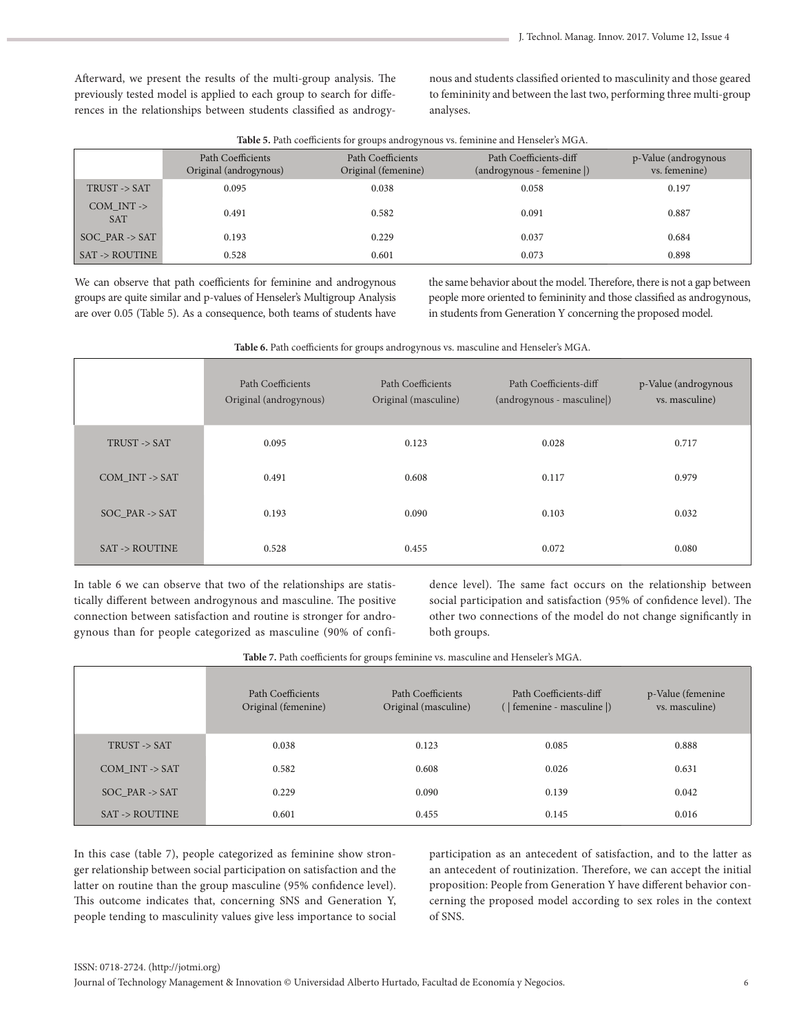Afterward, we present the results of the multi-group analysis. The previously tested model is applied to each group to search for differences in the relationships between students classified as androgynous and students classified oriented to masculinity and those geared to femininity and between the last two, performing three multi-group analyses.

| 20020 012 0011 000110101110 101 groups androgynous vol reministrational distribution |                                             |                                          |                                                    |                                       |  |
|--------------------------------------------------------------------------------------|---------------------------------------------|------------------------------------------|----------------------------------------------------|---------------------------------------|--|
|                                                                                      | Path Coefficients<br>Original (androgynous) | Path Coefficients<br>Original (femenine) | Path Coefficients-diff<br>(androgynous - femenine) | p-Value (androgynous<br>vs. femenine) |  |
| TRUST -> SAT                                                                         | 0.095                                       | 0.038                                    | 0.058                                              | 0.197                                 |  |
| COM $INT$ -><br><b>SAT</b>                                                           | 0.491                                       | 0.582                                    | 0.091                                              | 0.887                                 |  |
| SOC PAR $\rightarrow$ SAT                                                            | 0.193                                       | 0.229                                    | 0.037                                              | 0.684                                 |  |
| <b>SAT -&gt; ROUTINE</b>                                                             | 0.528                                       | 0.601                                    | 0.073                                              | 0.898                                 |  |

**Table 5.** Path coefficients for groups androgynous vs. feminine and Henseler's MGA.

We can observe that path coefficients for feminine and androgynous groups are quite similar and p-values of Henseler's Multigroup Analysis are over 0.05 (Table 5). As a consequence, both teams of students have the same behavior about the model. Therefore, there is not a gap between people more oriented to femininity and those classified as androgynous, in students from Generation Y concerning the proposed model.

| were or men commented for groups and ogg nous vor museumle and richtered stress. |                                             |                                           |                                                     |                                        |  |
|----------------------------------------------------------------------------------|---------------------------------------------|-------------------------------------------|-----------------------------------------------------|----------------------------------------|--|
|                                                                                  | Path Coefficients<br>Original (androgynous) | Path Coefficients<br>Original (masculine) | Path Coefficients-diff<br>(androgynous - masculine) | p-Value (androgynous<br>vs. masculine) |  |
| TRUST -> SAT                                                                     | 0.095                                       | 0.123                                     | 0.028                                               | 0.717                                  |  |
| $COM_INT$ -> SAT                                                                 | 0.491                                       | 0.608                                     | 0.117                                               | 0.979                                  |  |
| $SOC$ <sub>-PAR</sub> $\rightarrow$ SAT                                          | 0.193                                       | 0.090                                     | 0.103                                               | 0.032                                  |  |
| <b>SAT -&gt; ROUTINE</b>                                                         | 0.528                                       | 0.455                                     | 0.072                                               | 0.080                                  |  |

**Table 6.** Path coefficients for groups androgynous vs. masculine and Henseler's MGA.

In table 6 we can observe that two of the relationships are statistically different between androgynous and masculine. The positive connection between satisfaction and routine is stronger for androgynous than for people categorized as masculine (90% of confidence level). The same fact occurs on the relationship between social participation and satisfaction (95% of confidence level). The other two connections of the model do not change significantly in both groups.

**Table 7.** Path coefficients for groups feminine vs. masculine and Henseler's MGA.

|                                | Path Coefficients<br>Original (femenine) | Path Coefficients<br>Original (masculine) | Path Coefficients-diff<br>(   femenine - masculine  ) | p-Value (femenine<br>vs. masculine) |
|--------------------------------|------------------------------------------|-------------------------------------------|-------------------------------------------------------|-------------------------------------|
| TRUST -> SAT                   | 0.038                                    | 0.123                                     | 0.085                                                 | 0.888                               |
| $COM$ INT $\rightarrow$ SAT    | 0.582                                    | 0.608                                     | 0.026                                                 | 0.631                               |
| $SOC$ <sub>-PAR</sub> -> $SAT$ | 0.229                                    | 0.090                                     | 0.139                                                 | 0.042                               |
| <b>SAT -&gt; ROUTINE</b>       | 0.601                                    | 0.455                                     | 0.145                                                 | 0.016                               |

In this case (table 7), people categorized as feminine show stronger relationship between social participation on satisfaction and the latter on routine than the group masculine (95% confidence level). This outcome indicates that, concerning SNS and Generation Y, people tending to masculinity values give less importance to social participation as an antecedent of satisfaction, and to the latter as an antecedent of routinization. Therefore, we can accept the initial proposition: People from Generation Y have different behavior concerning the proposed model according to sex roles in the context of SNS.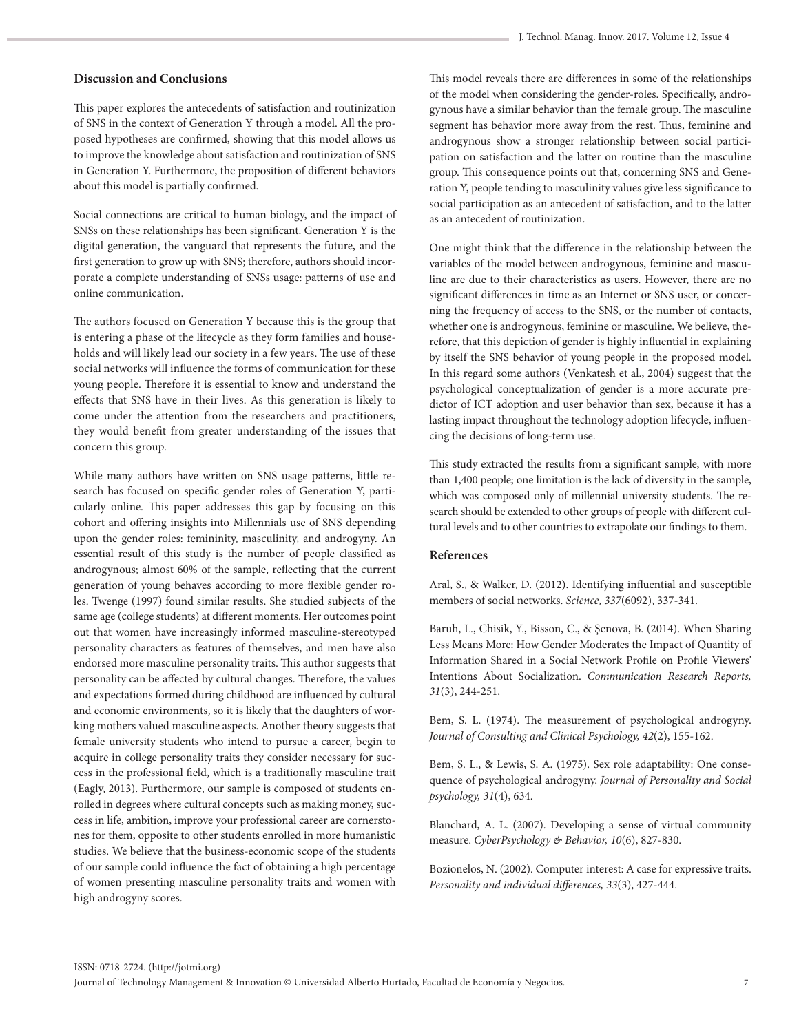### **Discussion and Conclusions**

This paper explores the antecedents of satisfaction and routinization of SNS in the context of Generation Y through a model. All the proposed hypotheses are confirmed, showing that this model allows us to improve the knowledge about satisfaction and routinization of SNS in Generation Y. Furthermore, the proposition of different behaviors about this model is partially confirmed.

Social connections are critical to human biology, and the impact of SNSs on these relationships has been significant. Generation Y is the digital generation, the vanguard that represents the future, and the first generation to grow up with SNS; therefore, authors should incorporate a complete understanding of SNSs usage: patterns of use and online communication.

The authors focused on Generation Y because this is the group that is entering a phase of the lifecycle as they form families and households and will likely lead our society in a few years. The use of these social networks will influence the forms of communication for these young people. Therefore it is essential to know and understand the effects that SNS have in their lives. As this generation is likely to come under the attention from the researchers and practitioners, they would benefit from greater understanding of the issues that concern this group.

While many authors have written on SNS usage patterns, little research has focused on specific gender roles of Generation Y, particularly online. This paper addresses this gap by focusing on this cohort and offering insights into Millennials use of SNS depending upon the gender roles: femininity, masculinity, and androgyny. An essential result of this study is the number of people classified as androgynous; almost 60% of the sample, reflecting that the current generation of young behaves according to more flexible gender roles. Twenge (1997) found similar results. She studied subjects of the same age (college students) at different moments. Her outcomes point out that women have increasingly informed masculine-stereotyped personality characters as features of themselves, and men have also endorsed more masculine personality traits. This author suggests that personality can be affected by cultural changes. Therefore, the values and expectations formed during childhood are influenced by cultural and economic environments, so it is likely that the daughters of working mothers valued masculine aspects. Another theory suggests that female university students who intend to pursue a career, begin to acquire in college personality traits they consider necessary for success in the professional field, which is a traditionally masculine trait (Eagly, 2013). Furthermore, our sample is composed of students enrolled in degrees where cultural concepts such as making money, success in life, ambition, improve your professional career are cornerstones for them, opposite to other students enrolled in more humanistic studies. We believe that the business-economic scope of the students of our sample could influence the fact of obtaining a high percentage of women presenting masculine personality traits and women with high androgyny scores.

This model reveals there are differences in some of the relationships of the model when considering the gender-roles. Specifically, androgynous have a similar behavior than the female group. The masculine segment has behavior more away from the rest. Thus, feminine and androgynous show a stronger relationship between social participation on satisfaction and the latter on routine than the masculine group. This consequence points out that, concerning SNS and Generation Y, people tending to masculinity values give less significance to social participation as an antecedent of satisfaction, and to the latter as an antecedent of routinization.

One might think that the difference in the relationship between the variables of the model between androgynous, feminine and masculine are due to their characteristics as users. However, there are no significant differences in time as an Internet or SNS user, or concerning the frequency of access to the SNS, or the number of contacts, whether one is androgynous, feminine or masculine. We believe, therefore, that this depiction of gender is highly influential in explaining by itself the SNS behavior of young people in the proposed model. In this regard some authors (Venkatesh et al., 2004) suggest that the psychological conceptualization of gender is a more accurate predictor of ICT adoption and user behavior than sex, because it has a lasting impact throughout the technology adoption lifecycle, influencing the decisions of long-term use.

This study extracted the results from a significant sample, with more than 1,400 people; one limitation is the lack of diversity in the sample, which was composed only of millennial university students. The research should be extended to other groups of people with different cultural levels and to other countries to extrapolate our findings to them.

## **References**

Aral, S., & Walker, D. (2012). Identifying influential and susceptible members of social networks. *Science, 337*(6092), 337-341.

Baruh, L., Chisik, Y., Bisson, C., & Şenova, B. (2014). When Sharing Less Means More: How Gender Moderates the Impact of Quantity of Information Shared in a Social Network Profile on Profile Viewers' Intentions About Socialization. *Communication Research Reports, 31*(3), 244-251.

Bem, S. L. (1974). The measurement of psychological androgyny. *Journal of Consulting and Clinical Psychology, 42*(2), 155-162.

Bem, S. L., & Lewis, S. A. (1975). Sex role adaptability: One consequence of psychological androgyny. *Journal of Personality and Social psychology, 31*(4), 634.

Blanchard, A. L. (2007). Developing a sense of virtual community measure. *CyberPsychology & Behavior, 10*(6), 827-830.

Bozionelos, N. (2002). Computer interest: A case for expressive traits. *Personality and individual differences, 33*(3), 427-444.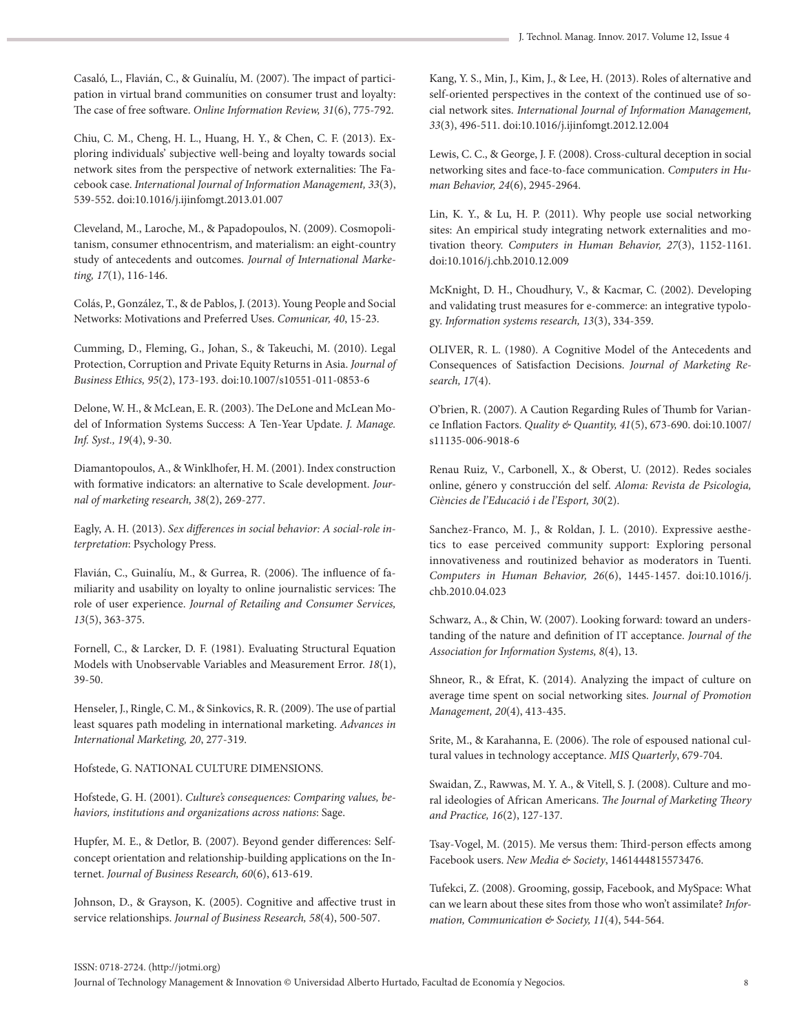Casaló, L., Flavián, C., & Guinalíu, M. (2007). The impact of participation in virtual brand communities on consumer trust and loyalty: The case of free software. *Online Information Review, 31*(6), 775-792.

Chiu, C. M., Cheng, H. L., Huang, H. Y., & Chen, C. F. (2013). Exploring individuals' subjective well-being and loyalty towards social network sites from the perspective of network externalities: The Facebook case. *International Journal of Information Management, 33*(3), 539-552. doi:10.1016/j.ijinfomgt.2013.01.007

Cleveland, M., Laroche, M., & Papadopoulos, N. (2009). Cosmopolitanism, consumer ethnocentrism, and materialism: an eight-country study of antecedents and outcomes. *Journal of International Marketing, 17*(1), 116-146.

Colás, P., González, T., & de Pablos, J. (2013). Young People and Social Networks: Motivations and Preferred Uses. *Comunicar, 40*, 15-23.

Cumming, D., Fleming, G., Johan, S., & Takeuchi, M. (2010). Legal Protection, Corruption and Private Equity Returns in Asia. *Journal of Business Ethics, 95*(2), 173-193. doi:10.1007/s10551-011-0853-6

Delone, W. H., & McLean, E. R. (2003). The DeLone and McLean Model of Information Systems Success: A Ten-Year Update. *J. Manage. Inf. Syst., 19*(4), 9-30.

Diamantopoulos, A., & Winklhofer, H. M. (2001). Index construction with formative indicators: an alternative to Scale development. *Journal of marketing research, 38*(2), 269-277.

Eagly, A. H. (2013). *Sex differences in social behavior: A social-role interpretation*: Psychology Press.

Flavián, C., Guinalíu, M., & Gurrea, R. (2006). The influence of familiarity and usability on loyalty to online journalistic services: The role of user experience. *Journal of Retailing and Consumer Services, 13*(5), 363-375.

Fornell, C., & Larcker, D. F. (1981). Evaluating Structural Equation Models with Unobservable Variables and Measurement Error. *18*(1), 39-50.

Henseler, J., Ringle, C. M., & Sinkovics, R. R. (2009). The use of partial least squares path modeling in international marketing. *Advances in International Marketing, 20*, 277-319.

Hofstede, G. NATIONAL CULTURE DIMENSIONS.

Hofstede, G. H. (2001). *Culture's consequences: Comparing values, behaviors, institutions and organizations across nations*: Sage.

Hupfer, M. E., & Detlor, B. (2007). Beyond gender differences: Selfconcept orientation and relationship-building applications on the Internet. *Journal of Business Research, 60*(6), 613-619.

Johnson, D., & Grayson, K. (2005). Cognitive and affective trust in service relationships. *Journal of Business Research, 58*(4), 500-507.

Kang, Y. S., Min, J., Kim, J., & Lee, H. (2013). Roles of alternative and self-oriented perspectives in the context of the continued use of social network sites. *International Journal of Information Management, 33*(3), 496-511. doi:10.1016/j.ijinfomgt.2012.12.004

Lewis, C. C., & George, J. F. (2008). Cross-cultural deception in social networking sites and face-to-face communication. *Computers in Human Behavior, 24*(6), 2945-2964.

Lin, K. Y., & Lu, H. P. (2011). Why people use social networking sites: An empirical study integrating network externalities and motivation theory. *Computers in Human Behavior, 27*(3), 1152-1161. doi:10.1016/j.chb.2010.12.009

McKnight, D. H., Choudhury, V., & Kacmar, C. (2002). Developing and validating trust measures for e-commerce: an integrative typology. *Information systems research, 13*(3), 334-359.

OLIVER, R. L. (1980). A Cognitive Model of the Antecedents and Consequences of Satisfaction Decisions. *Journal of Marketing Research, 17*(4).

O'brien, R. (2007). A Caution Regarding Rules of Thumb for Variance Inflation Factors. *Quality & Quantity, 41*(5), 673-690. doi:10.1007/ s11135-006-9018-6

Renau Ruiz, V., Carbonell, X., & Oberst, U. (2012). Redes sociales online, género y construcción del self. *Aloma: Revista de Psicologia, Ciències de l'Educació i de l'Esport, 30*(2).

Sanchez-Franco, M. J., & Roldan, J. L. (2010). Expressive aesthetics to ease perceived community support: Exploring personal innovativeness and routinized behavior as moderators in Tuenti. *Computers in Human Behavior, 26*(6), 1445-1457. doi:10.1016/j. chb.2010.04.023

Schwarz, A., & Chin, W. (2007). Looking forward: toward an understanding of the nature and definition of IT acceptance. *Journal of the Association for Information Systems, 8*(4), 13.

Shneor, R., & Efrat, K. (2014). Analyzing the impact of culture on average time spent on social networking sites. *Journal of Promotion Management, 20*(4), 413-435.

Srite, M., & Karahanna, E. (2006). The role of espoused national cultural values in technology acceptance. *MIS Quarterly*, 679-704.

Swaidan, Z., Rawwas, M. Y. A., & Vitell, S. J. (2008). Culture and moral ideologies of African Americans. *The Journal of Marketing Theory and Practice, 16*(2), 127-137.

Tsay-Vogel, M. (2015). Me versus them: Third-person effects among Facebook users. *New Media & Society*, 1461444815573476.

Tufekci, Z. (2008). Grooming, gossip, Facebook, and MySpace: What can we learn about these sites from those who won't assimilate? *Information, Communication & Society, 11*(4), 544-564.